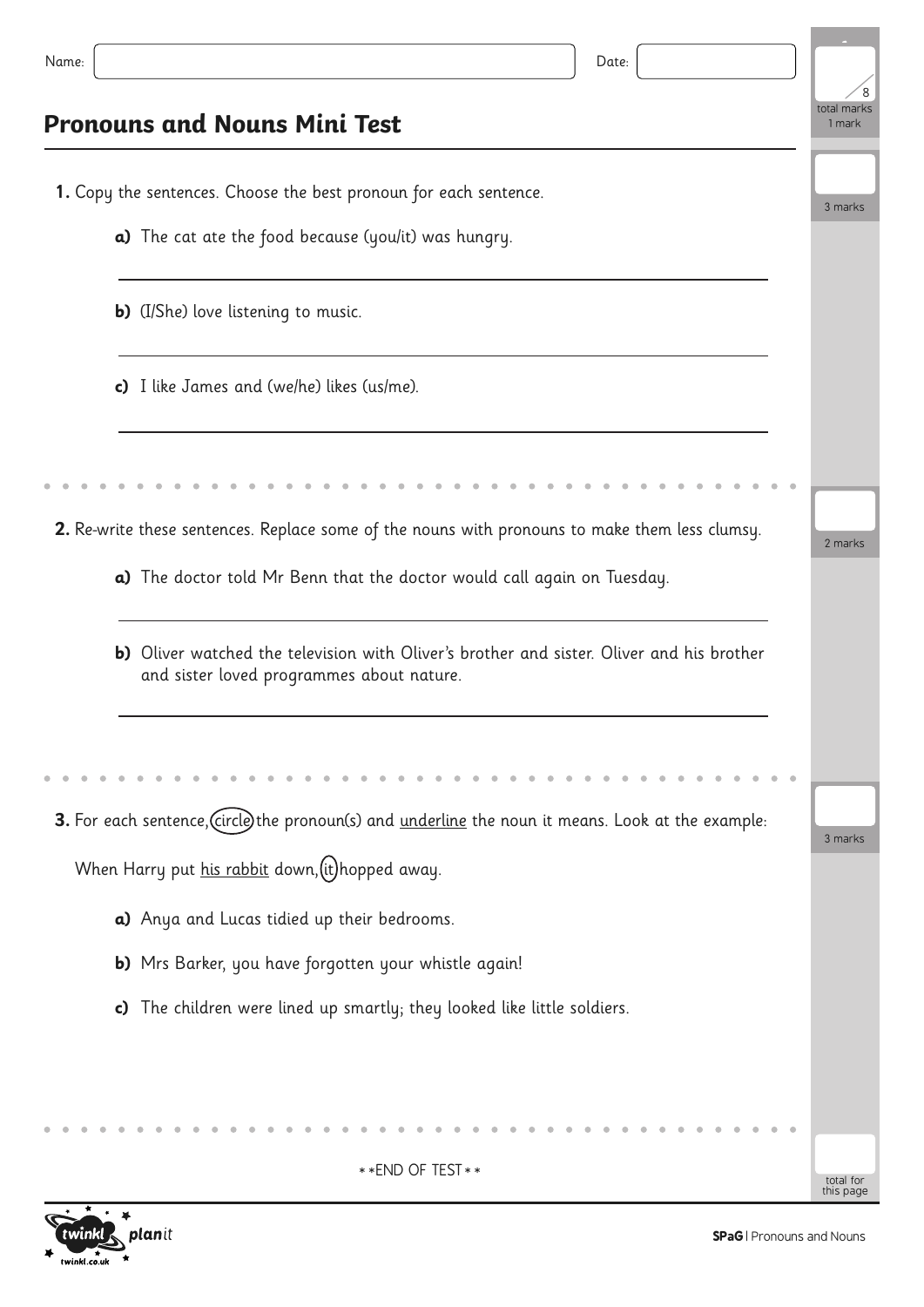| Name:<br>Date:                                                                                                                         |                        |
|----------------------------------------------------------------------------------------------------------------------------------------|------------------------|
| <b>Pronouns and Nouns Mini Test</b>                                                                                                    | total marks<br>1 mark  |
| 1. Copy the sentences. Choose the best pronoun for each sentence.                                                                      | 3 marks                |
| a) The cat ate the food because (you/it) was hungry.                                                                                   |                        |
| <b>b)</b> (I/She) love listening to music.                                                                                             |                        |
| c) I like James and (we/he) likes (us/me).                                                                                             |                        |
|                                                                                                                                        |                        |
| 2. Re-write these sentences. Replace some of the nouns with pronouns to make them less clumsy.                                         | 2 marks                |
| a) The doctor told Mr Benn that the doctor would call again on Tuesday.                                                                |                        |
| b) Oliver watched the television with Oliver's brother and sister. Oliver and his brother<br>and sister loved programmes about nature. |                        |
|                                                                                                                                        |                        |
| 3. For each sentence, (circle) the pronoun(s) and underline the noun it means. Look at the example:                                    |                        |
| When Harry put his rabbit down, (it) hopped away.                                                                                      | 3 marks                |
| a) Anya and Lucas tidied up their bedrooms.                                                                                            |                        |
| b) Mrs Barker, you have forgotten your whistle again!                                                                                  |                        |
| The children were lined up smartly; they looked like little soldiers.<br>c)                                                            |                        |
|                                                                                                                                        |                        |
|                                                                                                                                        |                        |
| ** END OF TEST **                                                                                                                      | total for<br>this page |



Ė